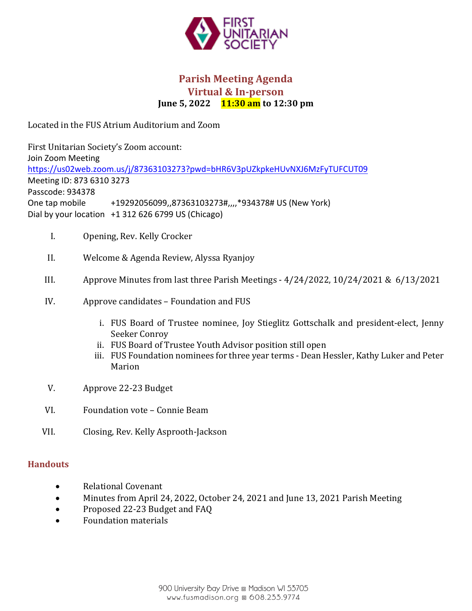

# **Parish Meeting Agenda Virtual & In-person June 5, 2022 11:30 am** to 12:30 pm

Located in the FUS Atrium Auditorium and Zoom

First Unitarian Society's Zoom account: Join Zoom Meeting https://us02web.zoom.us/j/87363103273?pwd=bHR6V3pUZkpkeHUvNXJ6MzFyTUFCUT09 Meeting ID: 873 6310 3273 Passcode: 934378 One tap mobile  $+19292056099,87363103273#, 934378# US (New York)$ Dial by your location +1 312 626 6799 US (Chicago)

- I. Opening, Rev. Kelly Crocker
- II. Welcome & Agenda Review, Alyssa Ryanjoy
- III. Approve Minutes from last three Parish Meetings  $4/24/2022$ ,  $10/24/2021$  &  $6/13/2021$
- IV. Approve candidates Foundation and FUS
	- i. FUS Board of Trustee nominee, Joy Stieglitz Gottschalk and president-elect, Jenny Seeker Conroy
	- ii. FUS Board of Trustee Youth Advisor position still open
	- iii. FUS Foundation nominees for three year terms Dean Hessler, Kathy Luker and Peter Marion
- V. Approve 22-23 Budget
- VI. Foundation vote Connie Beam
- VII. Closing, Rev. Kelly Asprooth-Jackson

## **Handouts**

- Relational Covenant
- Minutes from April 24, 2022, October 24, 2021 and June 13, 2021 Parish Meeting
- Proposed 22-23 Budget and FAQ
- Foundation materials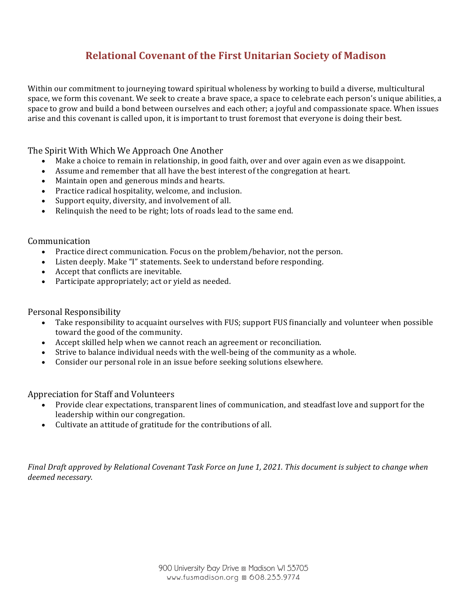# **Relational Covenant of the First Unitarian Society of Madison**

Within our commitment to journeying toward spiritual wholeness by working to build a diverse, multicultural space, we form this covenant. We seek to create a brave space, a space to celebrate each person's unique abilities, a space to grow and build a bond between ourselves and each other; a joyful and compassionate space. When issues arise and this covenant is called upon, it is important to trust foremost that everyone is doing their best.

The Spirit With Which We Approach One Another

- Make a choice to remain in relationship, in good faith, over and over again even as we disappoint.
- Assume and remember that all have the best interest of the congregation at heart.
- Maintain open and generous minds and hearts.
- Practice radical hospitality, welcome, and inclusion.
- Support equity, diversity, and involvement of all.
- Relinquish the need to be right; lots of roads lead to the same end.

#### Communication

- Practice direct communication. Focus on the problem/behavior, not the person.
- Listen deeply. Make "I" statements. Seek to understand before responding.
- Accept that conflicts are inevitable.
- Participate appropriately; act or yield as needed.

Personal Responsibility

- Take responsibility to acquaint ourselves with FUS; support FUS financially and volunteer when possible toward the good of the community.
- Accept skilled help when we cannot reach an agreement or reconciliation.
- Strive to balance individual needs with the well-being of the community as a whole.
- Consider our personal role in an issue before seeking solutions elsewhere.

Appreciation for Staff and Volunteers

- Provide clear expectations, transparent lines of communication, and steadfast love and support for the leadership within our congregation.
- Cultivate an attitude of gratitude for the contributions of all.

*Final Draft approved by Relational Covenant Task Force on June 1, 2021. This document is subject to change when deemed necessary.*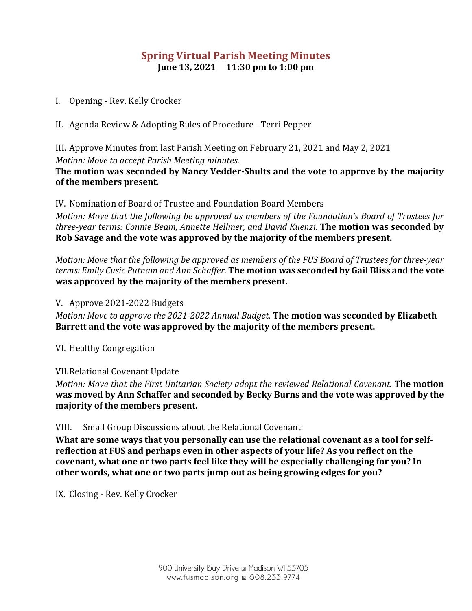# **Spring Virtual Parish Meeting Minutes June 13, 2021 11:30 pm to 1:00 pm**

- I. Opening Rev. Kelly Crocker
- II. Agenda Review & Adopting Rules of Procedure Terri Pepper

III. Approve Minutes from last Parish Meeting on February 21, 2021 and May 2, 2021 *Motion: Move to accept Parish Meeting minutes.* 

## The motion was seconded by Nancy Vedder-Shults and the vote to approve by the majority of the members present.

IV. Nomination of Board of Trustee and Foundation Board Members

*Motion: Move that the following be approved as members of the Foundation's Board of Trustees for three-year terms: Connie Beam, Annette Hellmer, and David Kuenzi.* **The motion was seconded by** Rob Savage and the vote was approved by the majority of the members present.

*Motion: Move that the following be approved as members of the FUS Board of Trustees for three-year terms: Emily Cusic Putnam and Ann Schaffer.* **The motion was seconded by Gail Bliss and the vote was approved by the majority of the members present.** 

V. Approve 2021-2022 Budgets

*Motion: Move to approve the 2021-2022 Annual Budget.* **The motion was seconded by Elizabeth** Barrett and the vote was approved by the majority of the members present.

VI. Healthy Congregation

VII. Relational Covenant Update

*Motion: Move that the First Unitarian Society adopt the reviewed Relational Covenant.* **The motion** was moved by Ann Schaffer and seconded by Becky Burns and the vote was approved by the **majority of the members present.**

VIII. Small Group Discussions about the Relational Covenant:

What are some ways that you personally can use the relational covenant as a tool for selfreflection at FUS and perhaps even in other aspects of your life? As you reflect on the covenant, what one or two parts feel like they will be especially challenging for you? In other words, what one or two parts jump out as being growing edges for you?

IX. Closing - Rev. Kelly Crocker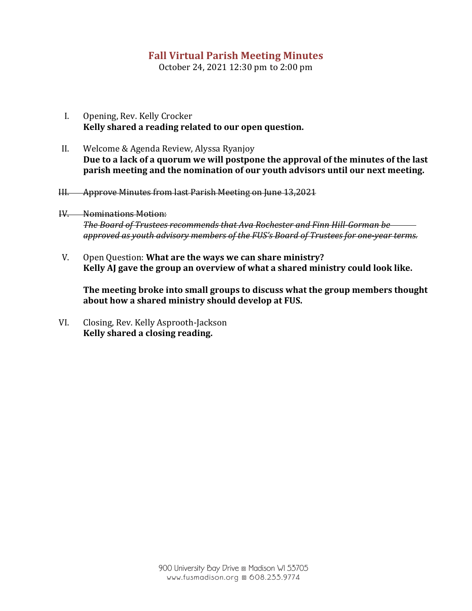# **Fall Virtual Parish Meeting Minutes**

October 24, 2021 12:30 pm to 2:00 pm

- I. Opening, Rev. Kelly Crocker Kelly shared a reading related to our open question.
- II. Welcome & Agenda Review, Alyssa Ryanjoy Due to a lack of a quorum we will postpone the approval of the minutes of the last **parish meeting and the nomination of our youth advisors until our next meeting.**
- III. Approve Minutes from last Parish Meeting on June 13,2021
- IV. Nominations Motion: **The Board of Trustees recommends that Ava Rochester and Finn Hill-Gorman be** *approved as youth advisory members of the FUS's Board of Trustees for one-year terms.*
- V. Open Question: **What are the ways we can share ministry?** Kelly AJ gave the group an overview of what a shared ministry could look like.

The meeting broke into small groups to discuss what the group members thought about how a shared ministry should develop at FUS.

VI. Closing, Rev. Kelly Asprooth-Jackson Kelly shared a closing reading.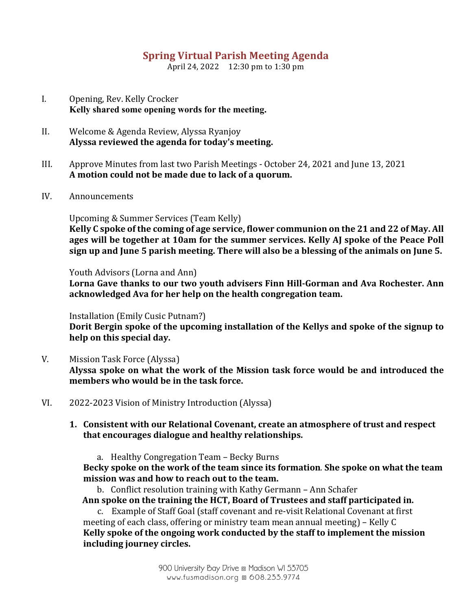# **Spring Virtual Parish Meeting Agenda**

April 24, 2022 12:30 pm to 1:30 pm

- I. Opening, Rev. Kelly Crocker **Kelly shared some opening words for the meeting.**
- II. Welcome & Agenda Review, Alyssa Ryanjoy Alyssa reviewed the agenda for today's meeting.
- III. Approve Minutes from last two Parish Meetings October 24, 2021 and June 13, 2021 **A motion could not be made due to lack of a quorum.**
- IV. Announcements

Upcoming & Summer Services (Team Kelly)

Kelly C spoke of the coming of age service, flower communion on the 21 and 22 of May. All ages will be together at 10am for the summer services. Kelly AJ spoke of the Peace Poll sign up and June 5 parish meeting. There will also be a blessing of the animals on June 5.

Youth Advisors (Lorna and Ann)

Lorna Gave thanks to our two youth advisers Finn Hill-Gorman and Ava Rochester. Ann acknowledged Ava for her help on the health congregation team.

Installation (Emily Cusic Putnam?)

Dorit Bergin spoke of the upcoming installation of the Kellys and spoke of the signup to **help on this special day.**

- V. Mission Task Force (Alyssa) Alyssa spoke on what the work of the Mission task force would be and introduced the **members who would be in the task force.**
- VI. 2022-2023 Vision of Ministry Introduction (Alyssa)

## 1. Consistent with our Relational Covenant, create an atmosphere of trust and respect that encourages dialogue and healthy relationships.

a. Healthy Congregation Team - Becky Burns

Becky spoke on the work of the team since its formation. She spoke on what the team mission was and how to reach out to the team.

b. Conflict resolution training with Kathy Germann – Ann Schafer Ann spoke on the training the HCT, Board of Trustees and staff participated in.

c. Example of Staff Goal (staff covenant and re-visit Relational Covenant at first meeting of each class, offering or ministry team mean annual meeting) – Kelly  $C$ Kelly spoke of the ongoing work conducted by the staff to implement the mission **including journey circles.**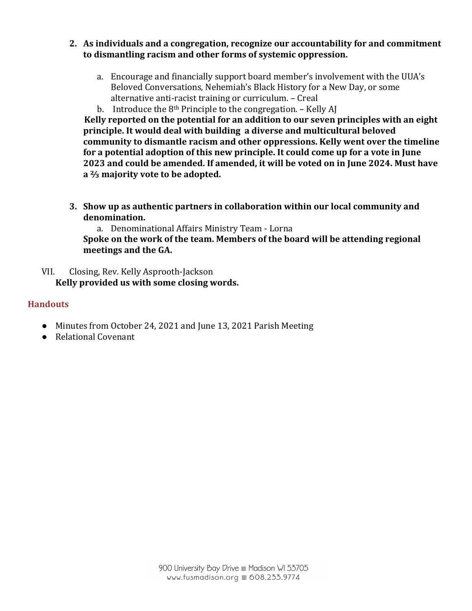- **2.** As individuals and a congregation, recognize our accountability for and commitment to dismantling racism and other forms of systemic oppression.
	- a. Encourage and financially support board member's involvement with the UUA's Beloved Conversations, Nehemiah's Black History for a New Day, or some alternative anti-racist training or curriculum. - Creal
	- b. Introduce the  $8<sup>th</sup>$  Principle to the congregation. Kelly AJ

**Kelly reported on the potential for an addition to our seven principles with an eight** principle. It would deal with building a diverse and multicultural beloved community to dismantle racism and other oppressions. Kelly went over the timeline for a potential adoption of this new principle. It could come up for a vote in June 2023 and could be amended. If amended, it will be voted on in June 2024. Must have **a**  $\frac{2}{3}$  majority vote to be adopted.

**3.** Show up as authentic partners in collaboration within our local community and **denomination.**

a. Denominational Affairs Ministry Team - Lorna

Spoke on the work of the team. Members of the board will be attending regional meetings and the GA.

VII. Closing, Rev. Kelly Asprooth-Jackson Kelly provided us with some closing words.

## **Handouts**

- Minutes from October 24, 2021 and June 13, 2021 Parish Meeting
- Relational Covenant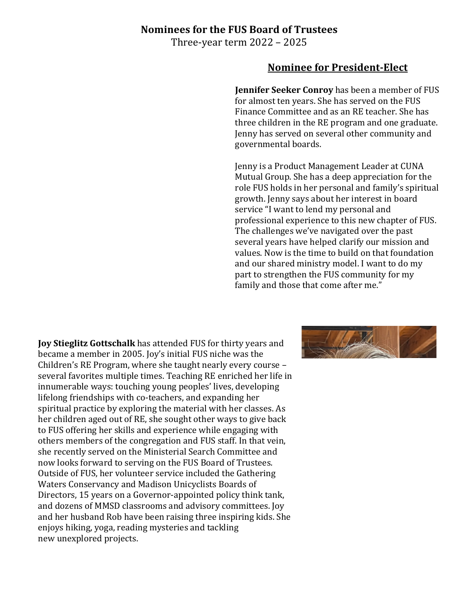## **Nominees for the FUS Board of Trustees**

Three-year term  $2022 - 2025$ 

## **Nominee for President-Elect**

**Jennifer Seeker Conroy** has been a member of FUS for almost ten years. She has served on the FUS Finance Committee and as an RE teacher. She has three children in the RE program and one graduate. Jenny has served on several other community and governmental boards.

Jenny is a Product Management Leader at CUNA Mutual Group. She has a deep appreciation for the role FUS holds in her personal and family's spiritual growth. Jenny says about her interest in board service "I want to lend my personal and professional experience to this new chapter of FUS. The challenges we've navigated over the past several years have helped clarify our mission and values. Now is the time to build on that foundation and our shared ministry model. I want to do my part to strengthen the FUS community for my family and those that come after me."

**Joy Stieglitz Gottschalk** has attended FUS for thirty years and became a member in 2005. Joy's initial FUS niche was the Children's RE Program, where she taught nearly every course  $$ several favorites multiple times. Teaching RE enriched her life in innumerable ways: touching young peoples' lives, developing lifelong friendships with co-teachers, and expanding her spiritual practice by exploring the material with her classes. As her children aged out of RE, she sought other ways to give back to FUS offering her skills and experience while engaging with others members of the congregation and FUS staff. In that vein, she recently served on the Ministerial Search Committee and now looks forward to serving on the FUS Board of Trustees. Outside of FUS, her volunteer service included the Gathering Waters Conservancy and Madison Unicyclists Boards of Directors, 15 years on a Governor-appointed policy think tank, and dozens of MMSD classrooms and advisory committees. Joy and her husband Rob have been raising three inspiring kids. She enjoys hiking, yoga, reading mysteries and tackling new unexplored projects.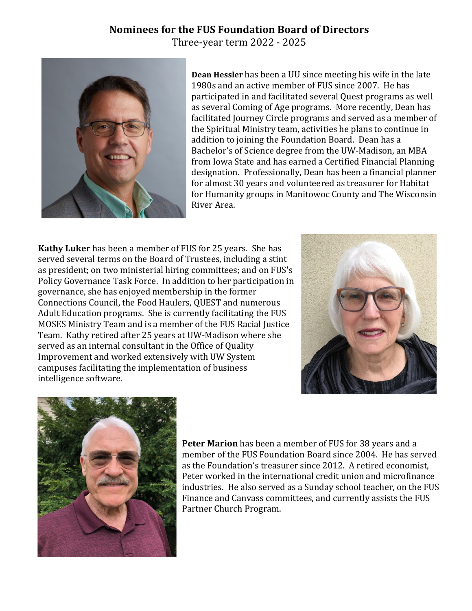# **Nominees for the FUS Foundation Board of Directors**

Three-year term 2022 - 2025



**Dean Hessler** has been a UU since meeting his wife in the late 1980s and an active member of FUS since 2007. He has participated in and facilitated several Quest programs as well as several Coming of Age programs. More recently, Dean has facilitated Journey Circle programs and served as a member of the Spiritual Ministry team, activities he plans to continue in addition to joining the Foundation Board. Dean has a Bachelor's of Science degree from the UW-Madison, an MBA from Iowa State and has earned a Certified Financial Planning designation. Professionally, Dean has been a financial planner for almost 30 years and volunteered as treasurer for Habitat for Humanity groups in Manitowoc County and The Wisconsin River Area.

**Kathy Luker** has been a member of FUS for 25 years. She has served several terms on the Board of Trustees, including a stint as president; on two ministerial hiring committees; and on FUS's Policy Governance Task Force. In addition to her participation in governance, she has enjoyed membership in the former Connections Council, the Food Haulers, QUEST and numerous Adult Education programs. She is currently facilitating the FUS MOSES Ministry Team and is a member of the FUS Racial Justice Team. Kathy retired after 25 years at UW-Madison where she served as an internal consultant in the Office of Quality Improvement and worked extensively with UW System campuses facilitating the implementation of business intelligence software.





**Peter Marion** has been a member of FUS for 38 years and a member of the FUS Foundation Board since 2004. He has served as the Foundation's treasurer since 2012. A retired economist, Peter worked in the international credit union and microfinance industries. He also served as a Sunday school teacher, on the FUS Finance and Canvass committees, and currently assists the FUS Partner Church Program.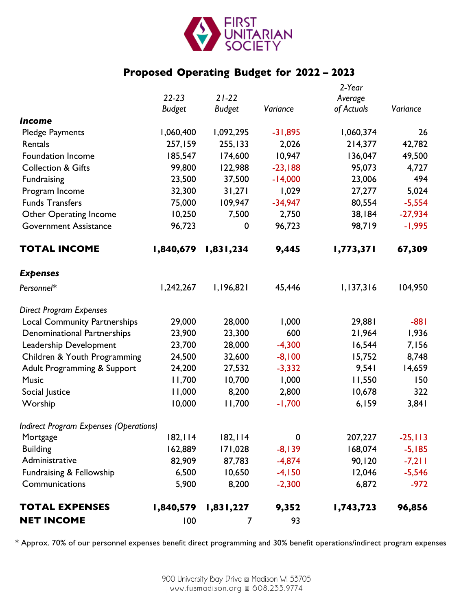

# **Proposed Operating Budget for 2022 – 2023**

| <b>NET INCOME</b>                                                     | 100           | 7             | 93          |                   |            |
|-----------------------------------------------------------------------|---------------|---------------|-------------|-------------------|------------|
| <b>TOTAL EXPENSES</b>                                                 | 1,840,579     | 1,831,227     | 9,352       | 1,743,723         | 96,856     |
| Communications                                                        | 5,900         | 8,200         | $-2,300$    | 6,872             | $-972$     |
| Fundraising & Fellowship                                              | 6,500         | 10,650        | $-4,150$    | 12,046            | $-5,546$   |
| Administrative                                                        | 82,909        | 87,783        | $-4,874$    | 90,120            | $-7,211$   |
| <b>Building</b>                                                       | 162,889       | 171,028       | $-8,139$    | 168,074           | $-5,185$   |
| Mortgage                                                              | 182, 114      | 182, 114      | $\mathbf 0$ | 207,227           | $-25, 113$ |
| <b>Indirect Program Expenses (Operations)</b>                         |               |               |             |                   |            |
| Worship                                                               | 10,000        | 11,700        | $-1,700$    | 6,159             | 3,841      |
| Social Justice                                                        | 11,000        | 8,200         | 2,800       | 10,678            | 322        |
| <b>Music</b>                                                          | 11,700        | 10,700        | 1,000       | 11,550            | 150        |
| Adult Programming & Support                                           | 24,200        | 27,532        | $-3,332$    | 9,541             | 14,659     |
| Children & Youth Programming                                          | 24,500        | 32,600        | $-8,100$    | 15,752            | 8,748      |
| Leadership Development                                                | 23,700        | 28,000        | $-4,300$    | 16,544            | 7,156      |
| <b>Denominational Partnerships</b>                                    | 23,900        | 23,300        | 600         | 21,964            | 1,936      |
| <b>Direct Program Expenses</b><br><b>Local Community Partnerships</b> | 29,000        | 28,000        | 1,000       | 29,881            | $-881$     |
| Personnel*                                                            | 1,242,267     | 1,196,821     | 45,446      | 1,137,316         | 104,950    |
| <b>Expenses</b>                                                       |               |               |             |                   |            |
| <b>TOTAL INCOME</b>                                                   | 1,840,679     | 1,831,234     | 9,445       | 1,773,371         | 67,309     |
| <b>Government Assistance</b>                                          | 96,723        | $\mathbf 0$   | 96,723      | 98,719            | $-1,995$   |
| <b>Other Operating Income</b>                                         | 10,250        | 7,500         | 2,750       | 38,184            | $-27,934$  |
| <b>Funds Transfers</b>                                                | 75,000        | 109,947       | $-34,947$   | 80,554            | $-5,554$   |
| Program Income                                                        | 32,300        | 31,271        | 1,029       | 27,277            | 5,024      |
| <b>Fundraising</b>                                                    | 23,500        | 37,500        | $-14,000$   | 23,006            | 494        |
| <b>Collection &amp; Gifts</b>                                         | 99,800        | 122,988       | $-23,188$   | 95,073            | 4,727      |
| <b>Foundation Income</b>                                              | 185,547       | 174,600       | 10,947      | 136,047           | 49,500     |
| Rentals                                                               | 257,159       | 255,133       | 2,026       | 214,377           | 42,782     |
| <b>Pledge Payments</b>                                                | 1,060,400     | 1,092,295     | $-31,895$   | 1,060,374         | 26         |
| <b>Income</b>                                                         |               |               |             |                   |            |
|                                                                       | <b>Budget</b> | <b>Budget</b> | Variance    | of Actuals        | Variance   |
|                                                                       | $22 - 23$     | $21 - 22$     |             | 2-Year<br>Average |            |
|                                                                       |               |               |             |                   |            |

\* Approx. 70% of our personnel expenses benefit direct programming and 30% benefit operations/indirect program expenses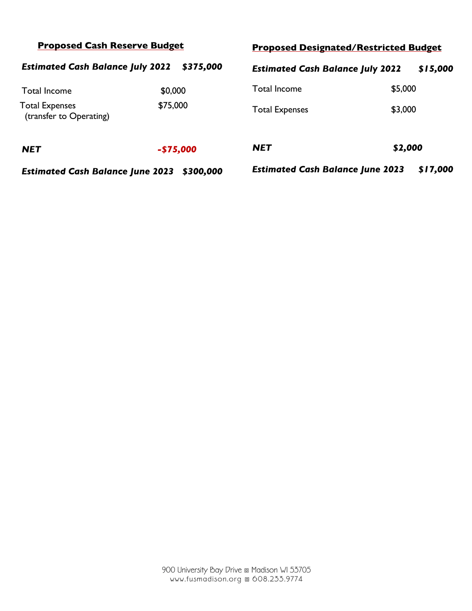| <b>Proposed Cash Reserve Budget</b>              |            | <b>Proposed Designated/Restricted Budget</b>        |          |  |
|--------------------------------------------------|------------|-----------------------------------------------------|----------|--|
| <b>Estimated Cash Balance July 2022</b>          | \$375,000  | <b>Estimated Cash Balance July 2022</b>             | \$15,000 |  |
| <b>Total Income</b>                              | \$0,000    | <b>Total Income</b>                                 | \$5,000  |  |
| <b>Total Expenses</b><br>(transfer to Operating) | \$75,000   | <b>Total Expenses</b>                               | \$3,000  |  |
| <b>NET</b>                                       | $-$75,000$ | <b>NET</b>                                          | \$2,000  |  |
| <b>Estimated Cash Balance June 2023</b>          | \$300,000  | \$17,000<br><b>Estimated Cash Balance June 2023</b> |          |  |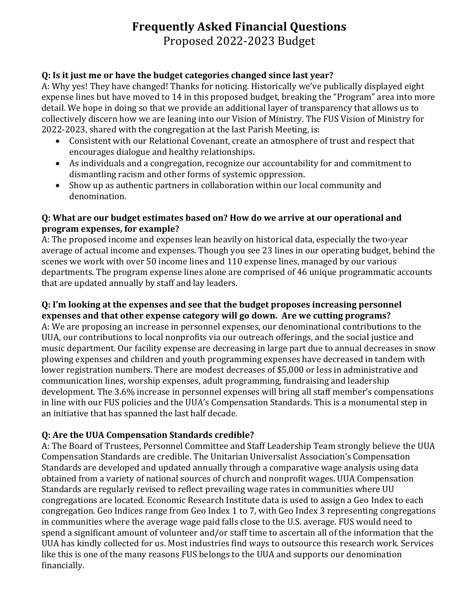# **Frequently Asked Financial Questions**

Proposed 2022-2023 Budget 

## **Q: Is it just me or have the budget categories changed since last year?**

A: Why yes! They have changed! Thanks for noticing. Historically we've publically displayed eight expense lines but have moved to 14 in this proposed budget, breaking the "Program" area into more detail. We hope in doing so that we provide an additional layer of transparency that allows us to collectively discern how we are leaning into our Vision of Ministry. The FUS Vision of Ministry for 2022-2023, shared with the congregation at the last Parish Meeting, is:

- Consistent with our Relational Covenant, create an atmosphere of trust and respect that encourages dialogue and healthy relationships.
- As individuals and a congregation, recognize our accountability for and commitment to dismantling racism and other forms of systemic oppression.
- Show up as authentic partners in collaboration within our local community and denomination.

## **Q:** What are our budget estimates based on? How do we arrive at our operational and **program expenses, for example?**

A: The proposed income and expenses lean heavily on historical data, especially the two-year average of actual income and expenses. Though you see 23 lines in our operating budget, behind the scenes we work with over 50 income lines and 110 expense lines, managed by our various departments. The program expense lines alone are comprised of 46 unique programmatic accounts that are updated annually by staff and lay leaders.

## **Q:** I'm looking at the expenses and see that the budget proposes increasing personnel **expenses and that other expense category will go down. Are we cutting programs?**

A: We are proposing an increase in personnel expenses, our denominational contributions to the UUA, our contributions to local nonprofits via our outreach offerings, and the social justice and music department. Our facility expense are decreasing in large part due to annual decreases in snow plowing expenses and children and youth programming expenses have decreased in tandem with lower registration numbers. There are modest decreases of \$5,000 or less in administrative and communication lines, worship expenses, adult programming, fundraising and leadership development. The 3.6% increase in personnel expenses will bring all staff member's compensations in line with our FUS policies and the UUA's Compensation Standards. This is a monumental step in an initiative that has spanned the last half decade.

## **Q:** Are the UUA Compensation Standards credible?

A: The Board of Trustees, Personnel Committee and Staff Leadership Team strongly believe the UUA Compensation Standards are credible. The Unitarian Universalist Association's Compensation Standards are developed and updated annually through a comparative wage analysis using data obtained from a variety of national sources of church and nonprofit wages. UUA Compensation Standards are regularly revised to reflect prevailing wage rates in communities where UU congregations are located. Economic Research Institute data is used to assign a Geo Index to each congregation. Geo Indices range from Geo Index 1 to 7, with Geo Index 3 representing congregations in communities where the average wage paid falls close to the U.S. average. FUS would need to spend a significant amount of volunteer and/or staff time to ascertain all of the information that the UUA has kindly collected for us. Most industries find ways to outsource this research work. Services like this is one of the many reasons FUS belongs to the UUA and supports our denomination financially.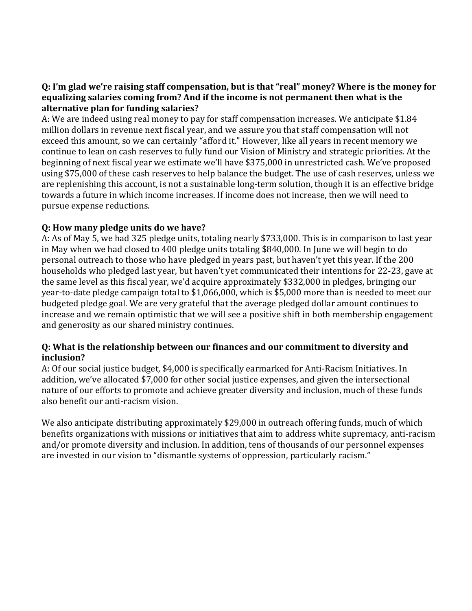## **Q: I'm glad we're raising staff compensation, but is that "real" money? Where is the money for equalizing salaries coming from? And if the income is not permanent then what is the** alternative plan for funding salaries?

A: We are indeed using real money to pay for staff compensation increases. We anticipate \$1.84 million dollars in revenue next fiscal year, and we assure you that staff compensation will not exceed this amount, so we can certainly "afford it." However, like all years in recent memory we continue to lean on cash reserves to fully fund our Vision of Ministry and strategic priorities. At the beginning of next fiscal year we estimate we'll have \$375,000 in unrestricted cash. We've proposed using \$75,000 of these cash reserves to help balance the budget. The use of cash reserves, unless we are replenishing this account, is not a sustainable long-term solution, though it is an effective bridge towards a future in which income increases. If income does not increase, then we will need to pursue expense reductions.

## **Q:** How many pledge units do we have?

A: As of May 5, we had 325 pledge units, totaling nearly \$733,000. This is in comparison to last year in May when we had closed to 400 pledge units totaling \$840,000. In June we will begin to do personal outreach to those who have pledged in years past, but haven't yet this year. If the 200 households who pledged last year, but haven't yet communicated their intentions for 22-23, gave at the same level as this fiscal year, we'd acquire approximately \$332,000 in pledges, bringing our year-to-date pledge campaign total to \$1,066,000, which is \$5,000 more than is needed to meet our budgeted pledge goal. We are very grateful that the average pledged dollar amount continues to increase and we remain optimistic that we will see a positive shift in both membership engagement and generosity as our shared ministry continues.

## **Q:** What is the relationship between our finances and our commitment to diversity and **inclusion?**

A: Of our social justice budget, \$4,000 is specifically earmarked for Anti-Racism Initiatives. In addition, we've allocated \$7,000 for other social justice expenses, and given the intersectional nature of our efforts to promote and achieve greater diversity and inclusion, much of these funds also benefit our anti-racism vision.

We also anticipate distributing approximately \$29,000 in outreach offering funds, much of which benefits organizations with missions or initiatives that aim to address white supremacy, anti-racism and/or promote diversity and inclusion. In addition, tens of thousands of our personnel expenses are invested in our vision to "dismantle systems of oppression, particularly racism."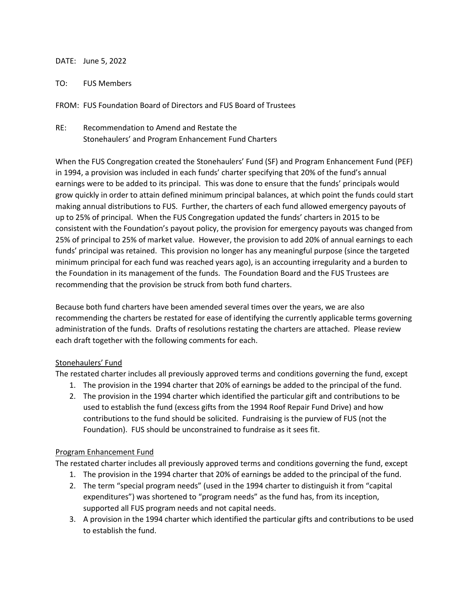#### DATE: June 5, 2022

TO: FUS Members

FROM: FUS Foundation Board of Directors and FUS Board of Trustees

RE: Recommendation to Amend and Restate the Stonehaulers' and Program Enhancement Fund Charters

When the FUS Congregation created the Stonehaulers' Fund (SF) and Program Enhancement Fund (PEF) in 1994, a provision was included in each funds' charter specifying that 20% of the fund's annual earnings were to be added to its principal. This was done to ensure that the funds' principals would grow quickly in order to attain defined minimum principal balances, at which point the funds could start making annual distributions to FUS. Further, the charters of each fund allowed emergency payouts of up to 25% of principal. When the FUS Congregation updated the funds' charters in 2015 to be consistent with the Foundation's payout policy, the provision for emergency payouts was changed from 25% of principal to 25% of market value. However, the provision to add 20% of annual earnings to each funds' principal was retained. This provision no longer has any meaningful purpose (since the targeted minimum principal for each fund was reached years ago), is an accounting irregularity and a burden to the Foundation in its management of the funds. The Foundation Board and the FUS Trustees are recommending that the provision be struck from both fund charters.

Because both fund charters have been amended several times over the years, we are also recommending the charters be restated for ease of identifying the currently applicable terms governing administration of the funds. Drafts of resolutions restating the charters are attached. Please review each draft together with the following comments for each.

#### Stonehaulers' Fund

The restated charter includes all previously approved terms and conditions governing the fund, except

- 1. The provision in the 1994 charter that 20% of earnings be added to the principal of the fund.
- 2. The provision in the 1994 charter which identified the particular gift and contributions to be used to establish the fund (excess gifts from the 1994 Roof Repair Fund Drive) and how contributions to the fund should be solicited. Fundraising is the purview of FUS (not the Foundation). FUS should be unconstrained to fundraise as it sees fit.

#### Program Enhancement Fund

The restated charter includes all previously approved terms and conditions governing the fund, except

- 1. The provision in the 1994 charter that 20% of earnings be added to the principal of the fund.
- 2. The term "special program needs" (used in the 1994 charter to distinguish it from "capital expenditures") was shortened to "program needs" as the fund has, from its inception, supported all FUS program needs and not capital needs.
- 3. A provision in the 1994 charter which identified the particular gifts and contributions to be used to establish the fund.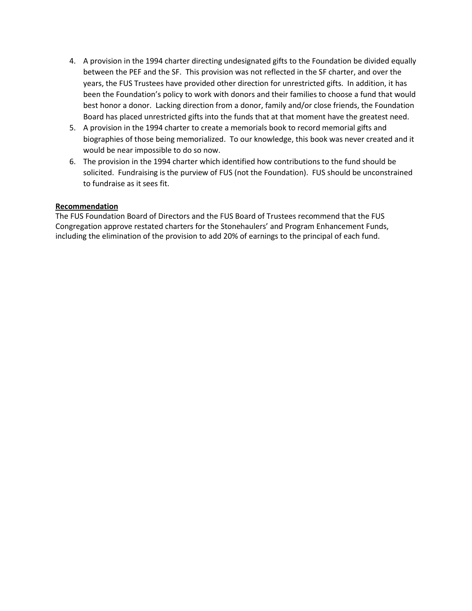- 4. A provision in the 1994 charter directing undesignated gifts to the Foundation be divided equally between the PEF and the SF. This provision was not reflected in the SF charter, and over the years, the FUS Trustees have provided other direction for unrestricted gifts. In addition, it has been the Foundation's policy to work with donors and their families to choose a fund that would best honor a donor. Lacking direction from a donor, family and/or close friends, the Foundation Board has placed unrestricted gifts into the funds that at that moment have the greatest need.
- 5. A provision in the 1994 charter to create a memorials book to record memorial gifts and biographies of those being memorialized. To our knowledge, this book was never created and it would be near impossible to do so now.
- 6. The provision in the 1994 charter which identified how contributions to the fund should be solicited. Fundraising is the purview of FUS (not the Foundation). FUS should be unconstrained to fundraise as it sees fit.

#### **Recommendation**

The FUS Foundation Board of Directors and the FUS Board of Trustees recommend that the FUS Congregation approve restated charters for the Stonehaulers' and Program Enhancement Funds, including the elimination of the provision to add 20% of earnings to the principal of each fund.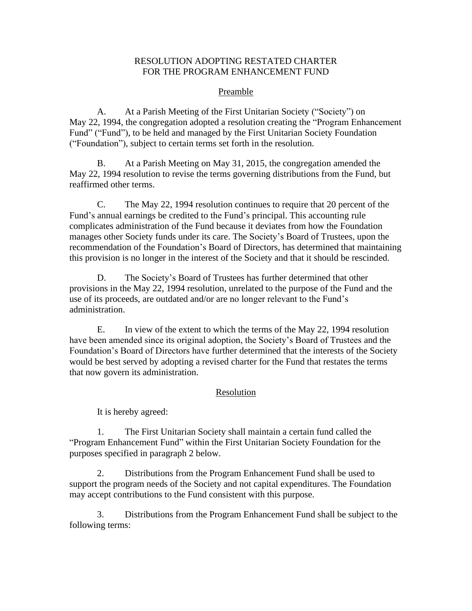#### RESOLUTION ADOPTING RESTATED CHARTER FOR THE PROGRAM ENHANCEMENT FUND

#### Preamble

A. At a Parish Meeting of the First Unitarian Society ("Society") on May 22, 1994, the congregation adopted a resolution creating the "Program Enhancement Fund" ("Fund"), to be held and managed by the First Unitarian Society Foundation ("Foundation"), subject to certain terms set forth in the resolution.

B. At a Parish Meeting on May 31, 2015, the congregation amended the May 22, 1994 resolution to revise the terms governing distributions from the Fund, but reaffirmed other terms.

C. The May 22, 1994 resolution continues to require that 20 percent of the Fund's annual earnings be credited to the Fund's principal. This accounting rule complicates administration of the Fund because it deviates from how the Foundation manages other Society funds under its care. The Society's Board of Trustees, upon the recommendation of the Foundation's Board of Directors, has determined that maintaining this provision is no longer in the interest of the Society and that it should be rescinded.

D. The Society's Board of Trustees has further determined that other provisions in the May 22, 1994 resolution, unrelated to the purpose of the Fund and the use of its proceeds, are outdated and/or are no longer relevant to the Fund's administration.

E. In view of the extent to which the terms of the May 22, 1994 resolution have been amended since its original adoption, the Society's Board of Trustees and the Foundation's Board of Directors have further determined that the interests of the Society would be best served by adopting a revised charter for the Fund that restates the terms that now govern its administration.

## Resolution

It is hereby agreed:

1. The First Unitarian Society shall maintain a certain fund called the "Program Enhancement Fund" within the First Unitarian Society Foundation for the purposes specified in paragraph 2 below.

2. Distributions from the Program Enhancement Fund shall be used to support the program needs of the Society and not capital expenditures. The Foundation may accept contributions to the Fund consistent with this purpose.

3. Distributions from the Program Enhancement Fund shall be subject to the following terms: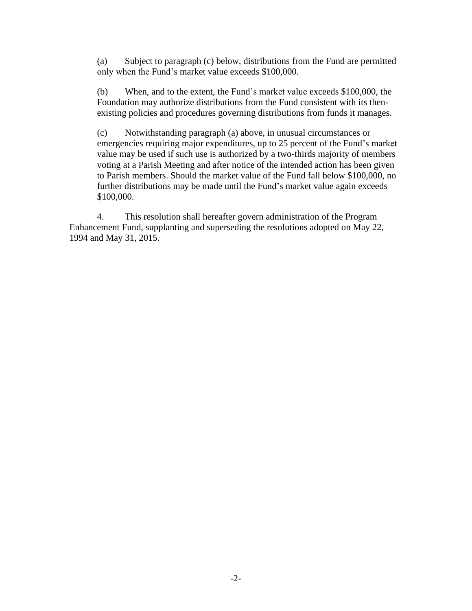(a) Subject to paragraph (c) below, distributions from the Fund are permitted only when the Fund's market value exceeds \$100,000.

(b) When, and to the extent, the Fund's market value exceeds \$100,000, the Foundation may authorize distributions from the Fund consistent with its thenexisting policies and procedures governing distributions from funds it manages.

(c) Notwithstanding paragraph (a) above, in unusual circumstances or emergencies requiring major expenditures, up to 25 percent of the Fund's market value may be used if such use is authorized by a two-thirds majority of members voting at a Parish Meeting and after notice of the intended action has been given to Parish members. Should the market value of the Fund fall below \$100,000, no further distributions may be made until the Fund's market value again exceeds \$100,000.

4. This resolution shall hereafter govern administration of the Program Enhancement Fund, supplanting and superseding the resolutions adopted on May 22, 1994 and May 31, 2015.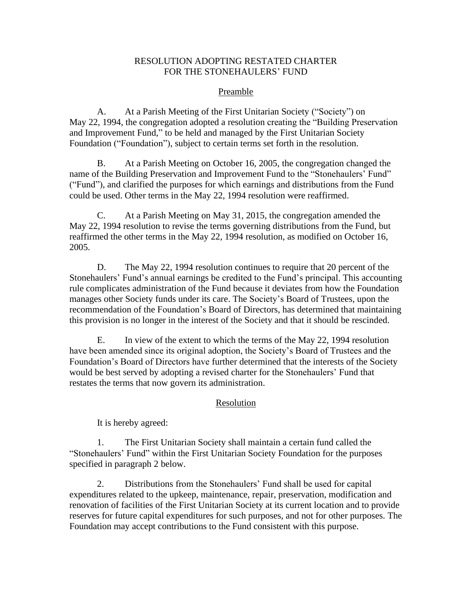#### RESOLUTION ADOPTING RESTATED CHARTER FOR THE STONEHAULERS' FUND

## Preamble

A. At a Parish Meeting of the First Unitarian Society ("Society") on May 22, 1994, the congregation adopted a resolution creating the "Building Preservation and Improvement Fund," to be held and managed by the First Unitarian Society Foundation ("Foundation"), subject to certain terms set forth in the resolution.

B. At a Parish Meeting on October 16, 2005, the congregation changed the name of the Building Preservation and Improvement Fund to the "Stonehaulers' Fund" ("Fund"), and clarified the purposes for which earnings and distributions from the Fund could be used. Other terms in the May 22, 1994 resolution were reaffirmed.

C. At a Parish Meeting on May 31, 2015, the congregation amended the May 22, 1994 resolution to revise the terms governing distributions from the Fund, but reaffirmed the other terms in the May 22, 1994 resolution, as modified on October 16, 2005.

D. The May 22, 1994 resolution continues to require that 20 percent of the Stonehaulers' Fund's annual earnings be credited to the Fund's principal. This accounting rule complicates administration of the Fund because it deviates from how the Foundation manages other Society funds under its care. The Society's Board of Trustees, upon the recommendation of the Foundation's Board of Directors, has determined that maintaining this provision is no longer in the interest of the Society and that it should be rescinded.

E. In view of the extent to which the terms of the May 22, 1994 resolution have been amended since its original adoption, the Society's Board of Trustees and the Foundation's Board of Directors have further determined that the interests of the Society would be best served by adopting a revised charter for the Stonehaulers' Fund that restates the terms that now govern its administration.

## Resolution

It is hereby agreed:

1. The First Unitarian Society shall maintain a certain fund called the "Stonehaulers' Fund" within the First Unitarian Society Foundation for the purposes specified in paragraph 2 below.

2. Distributions from the Stonehaulers' Fund shall be used for capital expenditures related to the upkeep, maintenance, repair, preservation, modification and renovation of facilities of the First Unitarian Society at its current location and to provide reserves for future capital expenditures for such purposes, and not for other purposes. The Foundation may accept contributions to the Fund consistent with this purpose.